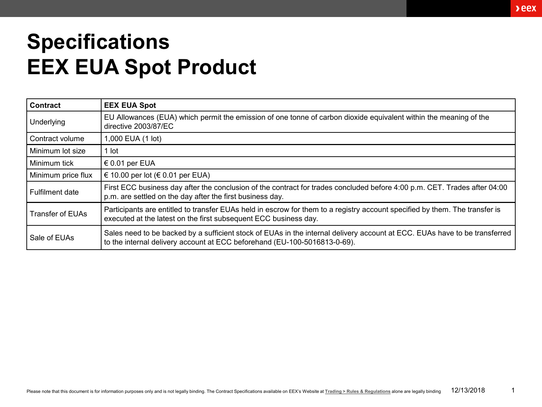## **Specifications EEX EUA Spot Product**

| Contract                | <b>EEX EUA Spot</b>                                                                                                                                                                                     |
|-------------------------|---------------------------------------------------------------------------------------------------------------------------------------------------------------------------------------------------------|
| Underlying              | EU Allowances (EUA) which permit the emission of one tonne of carbon dioxide equivalent within the meaning of the<br>directive 2003/87/EC                                                               |
| Contract volume         | 1,000 EUA (1 lot)                                                                                                                                                                                       |
| Minimum lot size        | 1 lot                                                                                                                                                                                                   |
| Minimum tick            | € 0.01 per EUA                                                                                                                                                                                          |
| Minimum price flux      | € 10.00 per lot (€ 0.01 per EUA)                                                                                                                                                                        |
| <b>Fulfilment date</b>  | First ECC business day after the conclusion of the contract for trades concluded before 4:00 p.m. CET. Trades after 04:00<br>p.m. are settled on the day after the first business day.                  |
| <b>Transfer of EUAs</b> | Participants are entitled to transfer EUAs held in escrow for them to a registry account specified by them. The transfer is<br>executed at the latest on the first subsequent ECC business day.         |
| Sale of EUAs            | Sales need to be backed by a sufficient stock of EUAs in the internal delivery account at ECC. EUAs have to be transferred<br>to the internal delivery account at ECC beforehand (EU-100-5016813-0-69). |

 $\lambda$ eex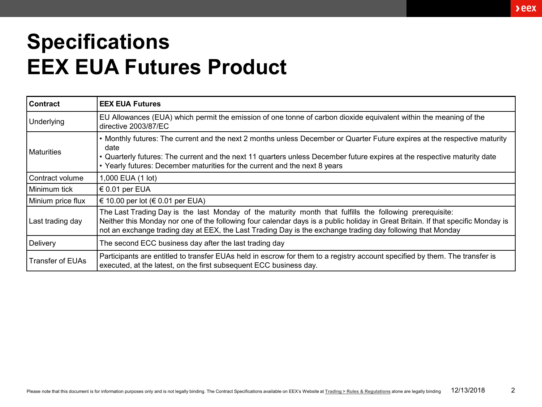## **Specifications EEX EUA Futures Product**

| <b>Contract</b>         | <b>EEX EUA Futures</b>                                                                                                                                                                                                                                                                                                                                    |
|-------------------------|-----------------------------------------------------------------------------------------------------------------------------------------------------------------------------------------------------------------------------------------------------------------------------------------------------------------------------------------------------------|
| Underlying              | EU Allowances (EUA) which permit the emission of one tonne of carbon dioxide equivalent within the meaning of the<br>directive 2003/87/EC                                                                                                                                                                                                                 |
| <b>Maturities</b>       | • Monthly futures: The current and the next 2 months unless December or Quarter Future expires at the respective maturity<br>date<br>• Quarterly futures: The current and the next 11 quarters unless December future expires at the respective maturity date<br>• Yearly futures: December maturities for the current and the next 8 years               |
| Contract volume         | 1,000 EUA (1 lot)                                                                                                                                                                                                                                                                                                                                         |
| Minimum tick            | € 0.01 per EUA                                                                                                                                                                                                                                                                                                                                            |
| Minium price flux       | $\in$ 10.00 per lot (€ 0.01 per EUA)                                                                                                                                                                                                                                                                                                                      |
| Last trading day        | The Last Trading Day is the last Monday of the maturity month that fulfills the following prerequisite:<br>Neither this Monday nor one of the following four calendar days is a public holiday in Great Britain. If that specific Monday is<br>not an exchange trading day at EEX, the Last Trading Day is the exchange trading day following that Monday |
| Delivery                | The second ECC business day after the last trading day                                                                                                                                                                                                                                                                                                    |
| <b>Transfer of EUAs</b> | Participants are entitled to transfer EUAs held in escrow for them to a registry account specified by them. The transfer is<br>executed, at the latest, on the first subsequent ECC business day.                                                                                                                                                         |